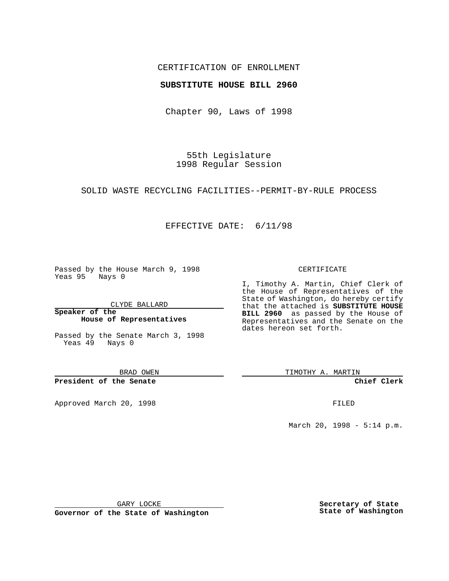### CERTIFICATION OF ENROLLMENT

#### **SUBSTITUTE HOUSE BILL 2960**

Chapter 90, Laws of 1998

55th Legislature 1998 Regular Session

## SOLID WASTE RECYCLING FACILITIES--PERMIT-BY-RULE PROCESS

## EFFECTIVE DATE: 6/11/98

Passed by the House March 9, 1998 Yeas 95 Nays 0

CLYDE BALLARD

**Speaker of the House of Representatives**

Passed by the Senate March 3, 1998 Yeas 49 Nays 0

BRAD OWEN

**President of the Senate**

Approved March 20, 1998 **FILED** 

#### CERTIFICATE

I, Timothy A. Martin, Chief Clerk of the House of Representatives of the State of Washington, do hereby certify that the attached is **SUBSTITUTE HOUSE BILL 2960** as passed by the House of Representatives and the Senate on the dates hereon set forth.

TIMOTHY A. MARTIN

**Chief Clerk**

March 20, 1998 - 5:14 p.m.

GARY LOCKE

**Governor of the State of Washington**

**Secretary of State State of Washington**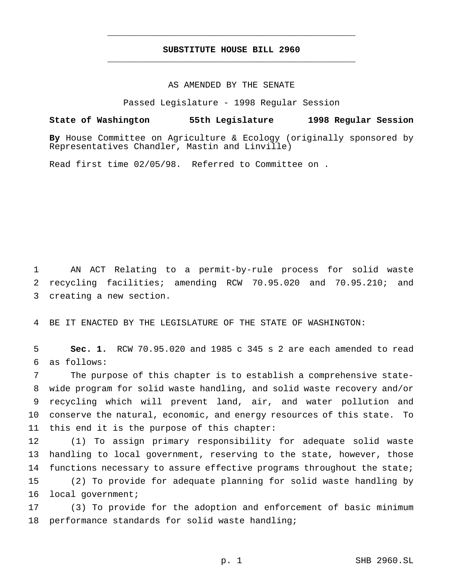# **SUBSTITUTE HOUSE BILL 2960** \_\_\_\_\_\_\_\_\_\_\_\_\_\_\_\_\_\_\_\_\_\_\_\_\_\_\_\_\_\_\_\_\_\_\_\_\_\_\_\_\_\_\_\_\_\_\_

\_\_\_\_\_\_\_\_\_\_\_\_\_\_\_\_\_\_\_\_\_\_\_\_\_\_\_\_\_\_\_\_\_\_\_\_\_\_\_\_\_\_\_\_\_\_\_

#### AS AMENDED BY THE SENATE

Passed Legislature - 1998 Regular Session

**State of Washington 55th Legislature 1998 Regular Session By** House Committee on Agriculture & Ecology (originally sponsored by Representatives Chandler, Mastin and Linville)

Read first time 02/05/98. Referred to Committee on .

1 AN ACT Relating to a permit-by-rule process for solid waste 2 recycling facilities; amending RCW 70.95.020 and 70.95.210; and 3 creating a new section.

4 BE IT ENACTED BY THE LEGISLATURE OF THE STATE OF WASHINGTON:

5 **Sec. 1.** RCW 70.95.020 and 1985 c 345 s 2 are each amended to read 6 as follows:

 The purpose of this chapter is to establish a comprehensive state- wide program for solid waste handling, and solid waste recovery and/or recycling which will prevent land, air, and water pollution and conserve the natural, economic, and energy resources of this state. To this end it is the purpose of this chapter:

12 (1) To assign primary responsibility for adequate solid waste 13 handling to local government, reserving to the state, however, those 14 functions necessary to assure effective programs throughout the state; 15 (2) To provide for adequate planning for solid waste handling by 16 local government;

17 (3) To provide for the adoption and enforcement of basic minimum 18 performance standards for solid waste handling;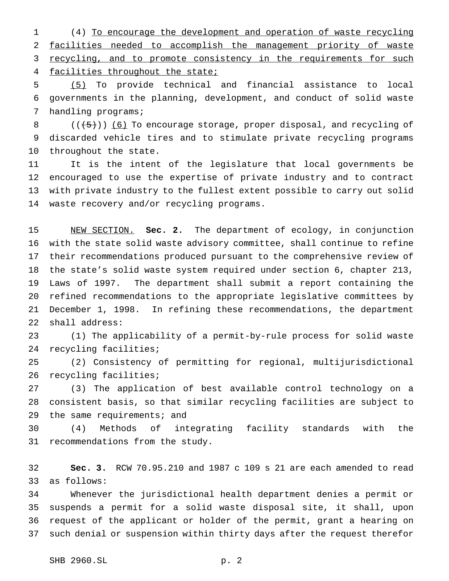(4) To encourage the development and operation of waste recycling facilities needed to accomplish the management priority of waste 3 recycling, and to promote consistency in the requirements for such facilities throughout the state;

 (5) To provide technical and financial assistance to local governments in the planning, development, and conduct of solid waste handling programs;

8  $((+5))$  (6) To encourage storage, proper disposal, and recycling of discarded vehicle tires and to stimulate private recycling programs throughout the state.

 It is the intent of the legislature that local governments be encouraged to use the expertise of private industry and to contract with private industry to the fullest extent possible to carry out solid waste recovery and/or recycling programs.

 NEW SECTION. **Sec. 2.** The department of ecology, in conjunction with the state solid waste advisory committee, shall continue to refine their recommendations produced pursuant to the comprehensive review of the state's solid waste system required under section 6, chapter 213, Laws of 1997. The department shall submit a report containing the refined recommendations to the appropriate legislative committees by December 1, 1998. In refining these recommendations, the department shall address:

 (1) The applicability of a permit-by-rule process for solid waste recycling facilities;

 (2) Consistency of permitting for regional, multijurisdictional recycling facilities;

 (3) The application of best available control technology on a consistent basis, so that similar recycling facilities are subject to 29 the same requirements; and

 (4) Methods of integrating facility standards with the recommendations from the study.

 **Sec. 3.** RCW 70.95.210 and 1987 c 109 s 21 are each amended to read as follows:

 Whenever the jurisdictional health department denies a permit or suspends a permit for a solid waste disposal site, it shall, upon request of the applicant or holder of the permit, grant a hearing on such denial or suspension within thirty days after the request therefor